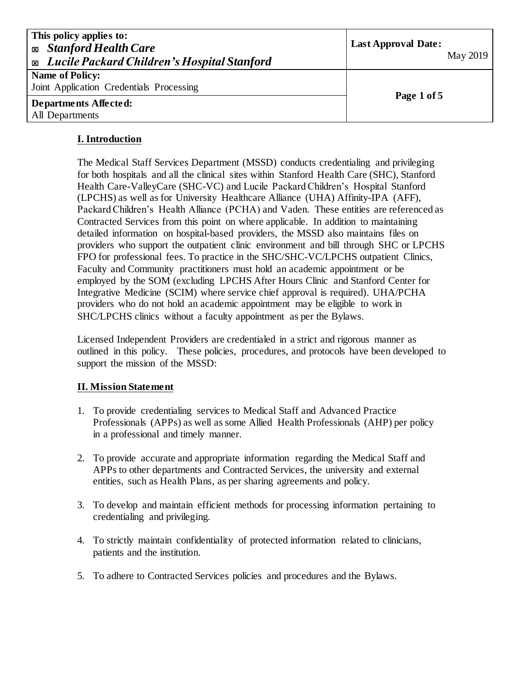| This policy applies to:<br><b>Exp. Stanford Health Care</b><br><b>Exable 2</b> Lucile Packard Children's Hospital Stanford | <b>Last Approval Date:</b><br>May 2019 |
|----------------------------------------------------------------------------------------------------------------------------|----------------------------------------|
| <b>Name of Policy:</b>                                                                                                     |                                        |
| Joint Application Credentials Processing                                                                                   |                                        |
| Departments Affected:                                                                                                      | Page 1 of 5                            |
| All Departments                                                                                                            |                                        |

# **I. Introduction**

The Medical Staff Services Department (MSSD) conducts credentialing and privileging for both hospitals and all the clinical sites within Stanford Health Care (SHC), Stanford Health Care-ValleyCare (SHC-VC) and Lucile Packard Children's Hospital Stanford (LPCHS) as well as for University Healthcare Alliance (UHA) Affinity-IPA (AFF), Packard Children's Health Alliance (PCHA) and Vaden. These entities are referenced as Contracted Services from this point on where applicable. In addition to maintaining detailed information on hospital-based providers, the MSSD also maintains files on providers who support the outpatient clinic environment and bill through SHC or LPCHS FPO for professional fees. To practice in the SHC/SHC-VC/LPCHS outpatient Clinics, Faculty and Community practitioners must hold an academic appointment or be employed by the SOM (excluding LPCHS After Hours Clinic and Stanford Center for Integrative Medicine (SCIM) where service chief approval is required). UHA/PCHA providers who do not hold an academic appointment may be eligible to work in SHC/LPCHS clinics without a faculty appointment as per the Bylaws.

Licensed Independent Providers are credentialed in a strict and rigorous manner as outlined in this policy. These policies, procedures, and protocols have been developed to support the mission of the MSSD:

### **II. Mission Statement**

- 1. To provide credentialing services to Medical Staff and Advanced Practice Professionals (APPs) as well as some Allied Health Professionals (AHP) per policy in a professional and timely manner.
- 2. To provide accurate and appropriate information regarding the Medical Staff and APPs to other departments and Contracted Services, the university and external entities, such as Health Plans, as per sharing agreements and policy.
- 3. To develop and maintain efficient methods for processing information pertaining to credentialing and privileging.
- 4. To strictly maintain confidentiality of protected information related to clinicians, patients and the institution.
- 5. To adhere to Contracted Services policies and procedures and the Bylaws.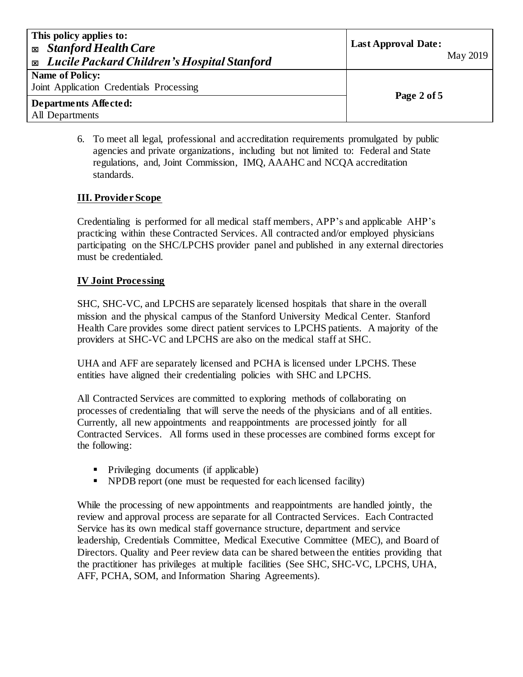| This policy applies to:<br><b>Exp. Stanford Health Care</b><br><b>Exable 2</b> Lucile Packard Children's Hospital Stanford | <b>Last Approval Date:</b><br>May 2019 |
|----------------------------------------------------------------------------------------------------------------------------|----------------------------------------|
| <b>Name of Policy:</b>                                                                                                     |                                        |
| Joint Application Credentials Processing                                                                                   |                                        |
| Departments Affected:                                                                                                      | Page 2 of 5                            |
| All Departments                                                                                                            |                                        |

6. To meet all legal, professional and accreditation requirements promulgated by public agencies and private organizations, including but not limited to: Federal and State regulations, and, Joint Commission, IMQ, AAAHC and NCQA accreditation standards.

### **III. Provider Scope**

Credentialing is performed for all medical staff members, APP's and applicable AHP's practicing within these Contracted Services. All contracted and/or employed physicians participating on the SHC/LPCHS provider panel and published in any external directories must be credentialed.

### **IV Joint Processing**

SHC, SHC-VC, and LPCHS are separately licensed hospitals that share in the overall mission and the physical campus of the Stanford University Medical Center. Stanford Health Care provides some direct patient services to LPCHS patients. A majority of the providers at SHC-VC and LPCHS are also on the medical staff at SHC.

UHA and AFF are separately licensed and PCHA is licensed under LPCHS. These entities have aligned their credentialing policies with SHC and LPCHS.

All Contracted Services are committed to exploring methods of collaborating on processes of credentialing that will serve the needs of the physicians and of all entities. Currently, all new appointments and reappointments are processed jointly for all Contracted Services. All forms used in these processes are combined forms except for the following:

- Privileging documents (if applicable)
- NPDB report (one must be requested for each licensed facility)

While the processing of new appointments and reappointments are handled jointly, the review and approval process are separate for all Contracted Services. Each Contracted Service has its own medical staff governance structure, department and service leadership, Credentials Committee, Medical Executive Committee (MEC), and Board of Directors. Quality and Peer review data can be shared between the entities providing that the practitioner has privileges at multiple facilities (See SHC, SHC-VC, LPCHS, UHA, AFF, PCHA, SOM, and Information Sharing Agreements).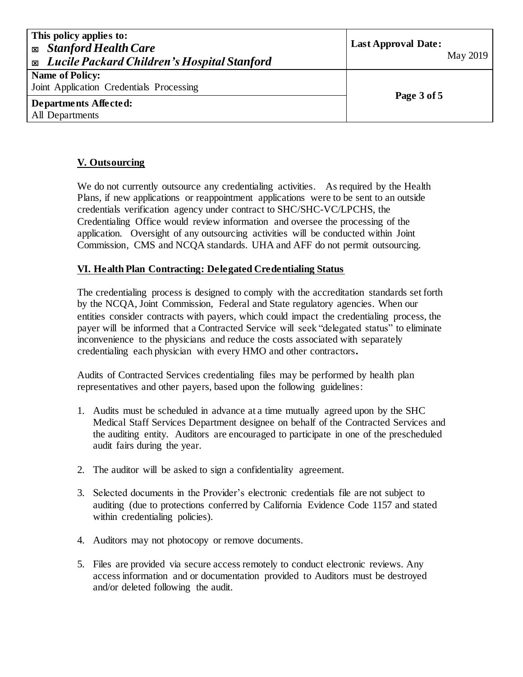| This policy applies to:<br><b>Exp.</b> Stanford Health Care<br><b>Exable 2</b> Lucile Packard Children's Hospital Stanford | <b>Last Approval Date:</b><br>May 2019 |
|----------------------------------------------------------------------------------------------------------------------------|----------------------------------------|
| <b>Name of Policy:</b><br>Joint Application Credentials Processing                                                         |                                        |
| Departments Affected:<br>All Departments                                                                                   | Page 3 of 5                            |

# **V. Outsourcing**

We do not currently outsource any credentialing activities. As required by the Health Plans, if new applications or reappointment applications were to be sent to an outside credentials verification agency under contract to SHC/SHC-VC/LPCHS, the Credentialing Office would review information and oversee the processing of the application. Oversight of any outsourcing activities will be conducted within Joint Commission, CMS and NCQA standards. UHA and AFF do not permit outsourcing.

#### **VI. Health Plan Contracting: Delegated Credentialing Status**

The credentialing process is designed to comply with the accreditation standards set forth by the NCQA, Joint Commission, Federal and State regulatory agencies. When our entities consider contracts with payers, which could impact the credentialing process, the payer will be informed that a Contracted Service will seek "delegated status" to eliminate inconvenience to the physicians and reduce the costs associated with separately credentialing each physician with every HMO and other contractors**.**

Audits of Contracted Services credentialing files may be performed by health plan representatives and other payers, based upon the following guidelines:

- 1. Audits must be scheduled in advance at a time mutually agreed upon by the SHC Medical Staff Services Department designee on behalf of the Contracted Services and the auditing entity. Auditors are encouraged to participate in one of the prescheduled audit fairs during the year.
- 2. The auditor will be asked to sign a confidentiality agreement.
- 3. Selected documents in the Provider's electronic credentials file are not subject to auditing (due to protections conferred by California Evidence Code 1157 and stated within credentialing policies).
- 4. Auditors may not photocopy or remove documents.
- 5. Files are provided via secure access remotely to conduct electronic reviews. Any access information and or documentation provided to Auditors must be destroyed and/or deleted following the audit.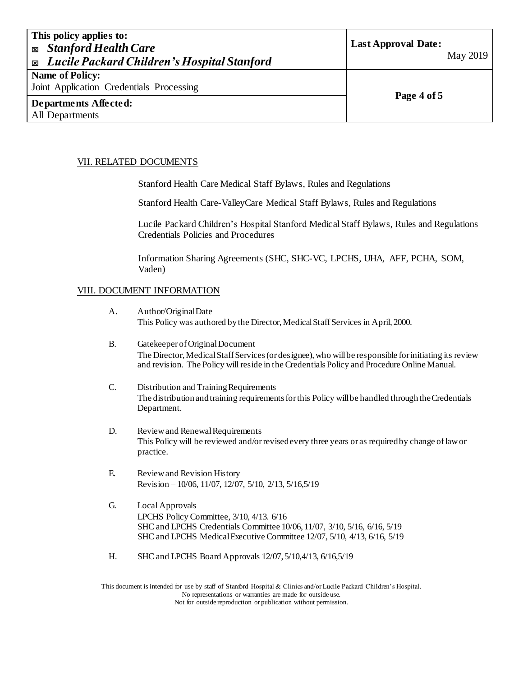| This policy applies to:<br><b>Exp. Stanford Health Care</b><br>Lucile Packard Children's Hospital Stanford<br>図 | <b>Last Approval Date:</b><br>May 2019 |
|-----------------------------------------------------------------------------------------------------------------|----------------------------------------|
| <b>Name of Policy:</b>                                                                                          |                                        |
| Joint Application Credentials Processing                                                                        |                                        |
| Departments Affected:                                                                                           | Page 4 of 5                            |
| All Departments                                                                                                 |                                        |

#### VII. RELATED DOCUMENTS

Stanford Health Care Medical Staff Bylaws, Rules and Regulations

Stanford Health Care-ValleyCare Medical Staff Bylaws, Rules and Regulations

Lucile Packard Children's Hospital Stanford Medical Staff Bylaws, Rules and Regulations Credentials Policies and Procedures

Information Sharing Agreements (SHC, SHC-VC, LPCHS, UHA, AFF, PCHA, SOM, Vaden)

#### VIII. DOCUMENT INFORMATION

- A. Author/Original Date This Policy was authored by the Director, Medical Staff Services in April, 2000.
- B. Gatekeeper of Original Document The Director, Medical Staff Services (or designee), who will be responsible for initiating its review and revision. The Policy will reside in the Credentials Policy and Procedure Online Manual.
- C. Distribution and Training Requirements The distribution and training requirements for this Policy will be handled through the Credentials Department.
- D. Review and Renewal Requirements This Policy will be reviewed and/or revised every three years or as required by change of law or practice.
- E. Review and Revision History Revision – 10/06, 11/07, 12/07, 5/10, 2/13, 5/16,5/19
- G. Local Approvals LPCHS Policy Committee, 3/10, 4/13. 6/16 SHC and LPCHS Credentials Committee 10/06, 11/07, 3/10, 5/16, 6/16, 5/19 SHC and LPCHS Medical Executive Committee 12/07, 5/10, 4/13, 6/16, 5/19
- H. SHC and LPCHS Board Approvals 12/07, 5/10,4/13, 6/16,5/19

This document is intended for use by staff of Stanford Hospital & Clinics and/or Lucile Packard Children's Hospital. No representations or warranties are made for outside use. Not for outside reproduction or publication without permission.